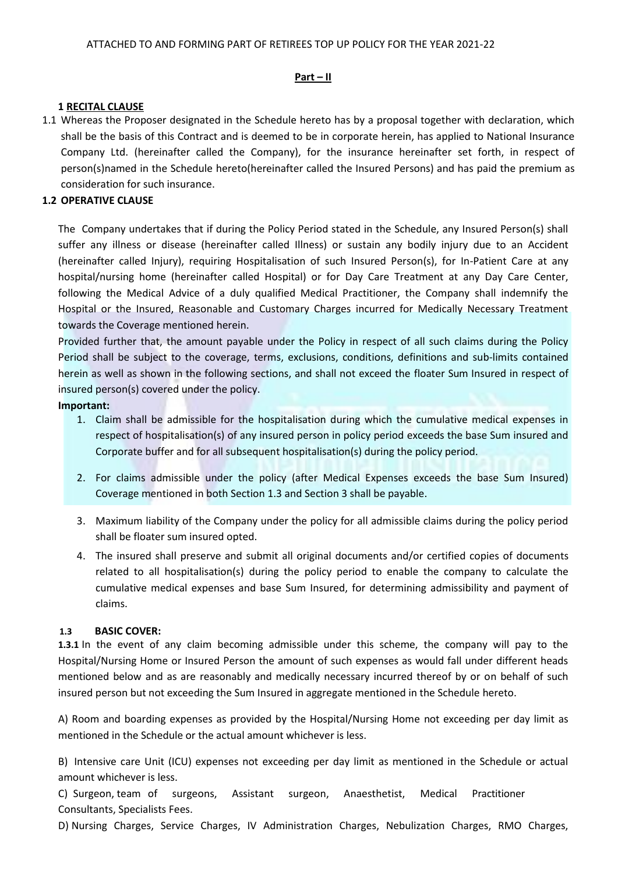#### **Part – II**

#### **1 RECITAL CLAUSE**

1.1 Whereas the Proposer designated in the Schedule hereto has by a proposal together with declaration, which shall be the basis of this Contract and is deemed to be in corporate herein, has applied to National Insurance Company Ltd. (hereinafter called the Company), for the insurance hereinafter set forth, in respect of person(s)named in the Schedule hereto(hereinafter called the Insured Persons) and has paid the premium as consideration for such insurance.

### **1.2 OPERATIVE CLAUSE**

The Company undertakes that if during the Policy Period stated in the Schedule, any Insured Person(s) shall suffer any illness or disease (hereinafter called Illness) or sustain any bodily injury due to an Accident (hereinafter called Injury), requiring Hospitalisation of such Insured Person(s), for In-Patient Care at any hospital/nursing home (hereinafter called Hospital) or for Day Care Treatment at any Day Care Center, following the Medical Advice of a duly qualified Medical Practitioner, the Company shall indemnify the Hospital or the Insured, Reasonable and Customary Charges incurred for Medically Necessary Treatment towards the Coverage mentioned herein.

Provided further that, the amount payable under the Policy in respect of all such claims during the Policy Period shall be subject to the coverage, terms, exclusions, conditions, definitions and sub-limits contained herein as well as shown in the following sections, and shall not exceed the floater Sum Insured in respect of insured person(s) covered under the policy.

### **Important:**

- 1. Claim shall be admissible for the hospitalisation during which the cumulative medical expenses in respect of hospitalisation(s) of any insured person in policy period exceeds the base Sum insured and Corporate buffer and for all subsequent hospitalisation(s) during the policy period.
- 2. For claims admissible under the policy (after Medical Expenses exceeds the base Sum Insured) Coverage mentioned in both Section 1.3 and Section 3 shall be payable.
- 3. Maximum liability of the Company under the policy for all admissible claims during the policy period shall be floater sum insured opted.
- 4. The insured shall preserve and submit all original documents and/or certified copies of documents related to all hospitalisation(s) during the policy period to enable the company to calculate the cumulative medical expenses and base Sum Insured, for determining admissibility and payment of claims.

### **1.3 BASIC COVER:**

**1.3.1** In the event of any claim becoming admissible under this scheme, the company will pay to the Hospital/Nursing Home or Insured Person the amount of such expenses as would fall under different heads mentioned below and as are reasonably and medically necessary incurred thereof by or on behalf of such insured person but not exceeding the Sum Insured in aggregate mentioned in the Schedule hereto.

A) Room and boarding expenses as provided by the Hospital/Nursing Home not exceeding per day limit as mentioned in the Schedule or the actual amount whichever is less.

B) Intensive care Unit (ICU) expenses not exceeding per day limit as mentioned in the Schedule or actual amount whichever is less.

C) Surgeon, team of surgeons, Assistant surgeon, Anaesthetist, Medical Practitioner Consultants, Specialists Fees.

D) Nursing Charges, Service Charges, IV Administration Charges, Nebulization Charges, RMO Charges,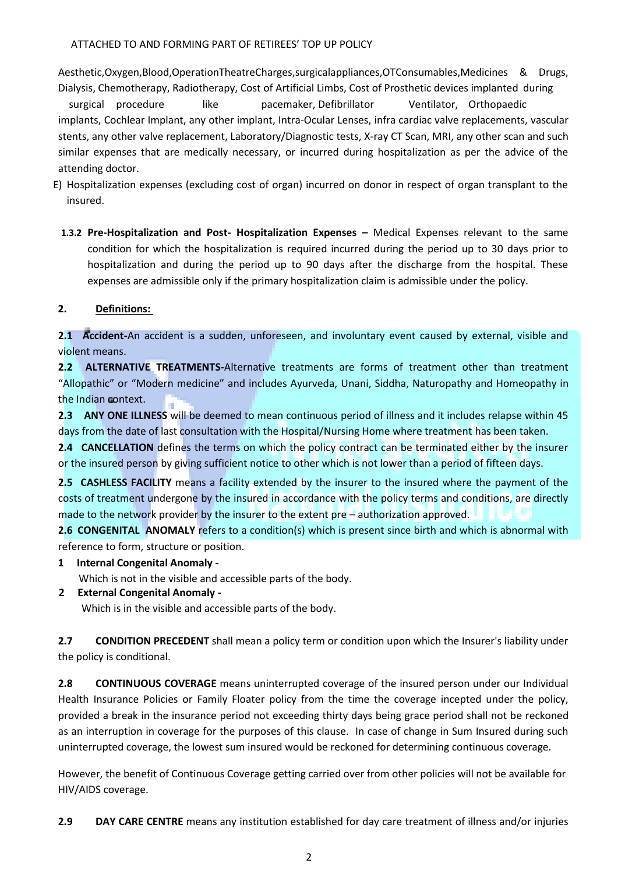Aesthetic,Oxygen,Blood,OperationTheatreCharges,surgicalappliances,OTConsumables,Medicines & Drugs, Dialysis, Chemotherapy, Radiotherapy, Cost of Artificial Limbs, Cost of Prosthetic devices implanted during surgical procedure like pacemaker, Defibrillator Ventilator, Orthopaedic implants, Cochlear Implant, any other implant, Intra-Ocular Lenses, infra cardiac valve replacements, vascular stents, any other valve replacement, Laboratory/Diagnostic tests, X-ray CT Scan, MRI, any other scan and such similar expenses that are medically necessary, or incurred during hospitalization as per the advice of the attending doctor.

- E) Hospitalization expenses (excluding cost of organ) incurred on donor in respect of organ transplant to the insured.
	- **1.3.2 Pre-Hospitalization and Post- Hospitalization Expenses –** Medical Expenses relevant to the same condition for which the hospitalization is required incurred during the period up to 30 days prior to hospitalization and during the period up to 90 days after the discharge from the hospital. These expenses are admissible only if the primary hospitalization claim is admissible under the policy.

# **2. Definitions:**

**2.1 Accident-**An accident is a sudden, unforeseen, and involuntary event caused by external, visible and violent means.

**2.2 ALTERNATIVE TREATMENTS-**Alternative treatments are forms of treatment other than treatment "Allopathic" or "Modern medicine" and includes Ayurveda, Unani, Siddha, Naturopathy and Homeopathy in the Indian context.

**2.3 ANY ONE ILLNESS** will be deemed to mean continuous period of illness and it includes relapse within 45 days from the date of last consultation with the Hospital/Nursing Home where treatment has been taken.

**2.4 CANCELLATION** defines the terms on which the policy contract can be terminated either by the insurer or the insured person by giving sufficient notice to other which is not lower than a period of fifteen days.

**2.5 CASHLESS FACILITY** means a facility extended by the insurer to the insured where the payment of the costs of treatment undergone by the insured in accordance with the policy terms and conditions, are directly made to the network provider by the insurer to the extent pre – authorization approved.

**2.6 CONGENITAL ANOMALY** refers to a condition(s) which is present since birth and which is abnormal with reference to form, structure or position.

**1 Internal Congenital Anomaly -**

Which is not in the visible and accessible parts of the body.

**2 External Congenital Anomaly -**

Which is in the visible and accessible parts of the body.

**2.7 CONDITION PRECEDENT** shall mean a policy term or condition upon which the Insurer's liability under the policy is conditional.

**2.8 CONTINUOUS COVERAGE** means uninterrupted coverage of the insured person under our Individual Health Insurance Policies or Family Floater policy from the time the coverage incepted under the policy, provided a break in the insurance period not exceeding thirty days being grace period shall not be reckoned as an interruption in coverage for the purposes of this clause. In case of change in Sum Insured during such uninterrupted coverage, the lowest sum insured would be reckoned for determining continuous coverage.

However, the benefit of Continuous Coverage getting carried over from other policies will not be available for HIV/AIDS coverage.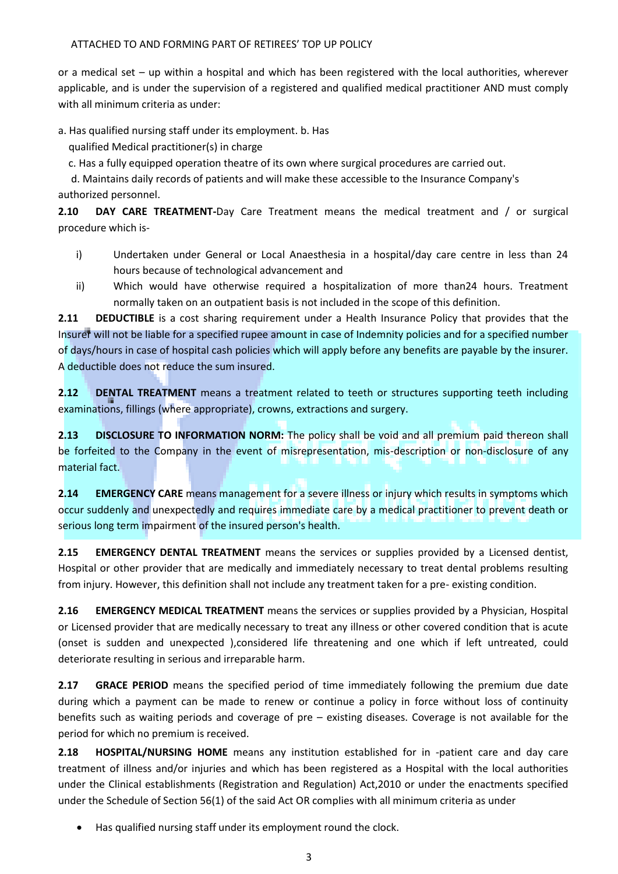or a medical set – up within a hospital and which has been registered with the local authorities, wherever applicable, and is under the supervision of a registered and qualified medical practitioner AND must comply with all minimum criteria as under:

a. Has qualified nursing staff under its employment. b. Has

qualified Medical practitioner(s) in charge

c. Has a fully equipped operation theatre of its own where surgical procedures are carried out.

d. Maintains daily records of patients and will make these accessible to the Insurance Company's authorized personnel.

**2.10 DAY CARE TREATMENT-**Day Care Treatment means the medical treatment and / or surgical procedure which is-

- i) Undertaken under General or Local Anaesthesia in a hospital/day care centre in less than 24 hours because of technological advancement and
- ii) Which would have otherwise required a hospitalization of more than24 hours. Treatment normally taken on an outpatient basis is not included in the scope of this definition.

**2.11 DEDUCTIBLE** is a cost sharing requirement under a Health Insurance Policy that provides that the Insurer will not be liable for a specified rupee amount in case of Indemnity policies and for a specified number of days/hours in case of hospital cash policies which will apply before any benefits are payable by the insurer. A deductible does not reduce the sum insured.

**2.12 DENTAL TREATMENT** means a treatment related to teeth or structures supporting teeth including examinations, fillings (where appropriate), crowns, extractions and surgery.

**2.13 DISCLOSURE TO INFORMATION NORM:** The policy shall be void and all premium paid thereon shall be forfeited to the Company in the event of misrepresentation, mis-description or non-disclosure of any material fact.

**2.14 EMERGENCY CARE** means management for a severe illness or injury which results in symptoms which occur suddenly and unexpectedly and requires immediate care by a medical practitioner to prevent death or serious long term impairment of the insured person's health.

**2.15 EMERGENCY DENTAL TREATMENT** means the services or supplies provided by a Licensed dentist, Hospital or other provider that are medically and immediately necessary to treat dental problems resulting from injury. However, this definition shall not include any treatment taken for a pre- existing condition.

**2.16 EMERGENCY MEDICAL TREATMENT** means the services or supplies provided by a Physician, Hospital or Licensed provider that are medically necessary to treat any illness or other covered condition that is acute (onset is sudden and unexpected ),considered life threatening and one which if left untreated, could deteriorate resulting in serious and irreparable harm.

**2.17 GRACE PERIOD** means the specified period of time immediately following the premium due date during which a payment can be made to renew or continue a policy in force without loss of continuity benefits such as waiting periods and coverage of pre – existing diseases. Coverage is not available for the period for which no premium is received.

**2.18 HOSPITAL/NURSING HOME** means any institution established for in -patient care and day care treatment of illness and/or injuries and which has been registered as a Hospital with the local authorities under the Clinical establishments (Registration and Regulation) Act,2010 or under the enactments specified under the Schedule of Section 56(1) of the said Act OR complies with all minimum criteria as under

Has qualified nursing staff under its employment round the clock.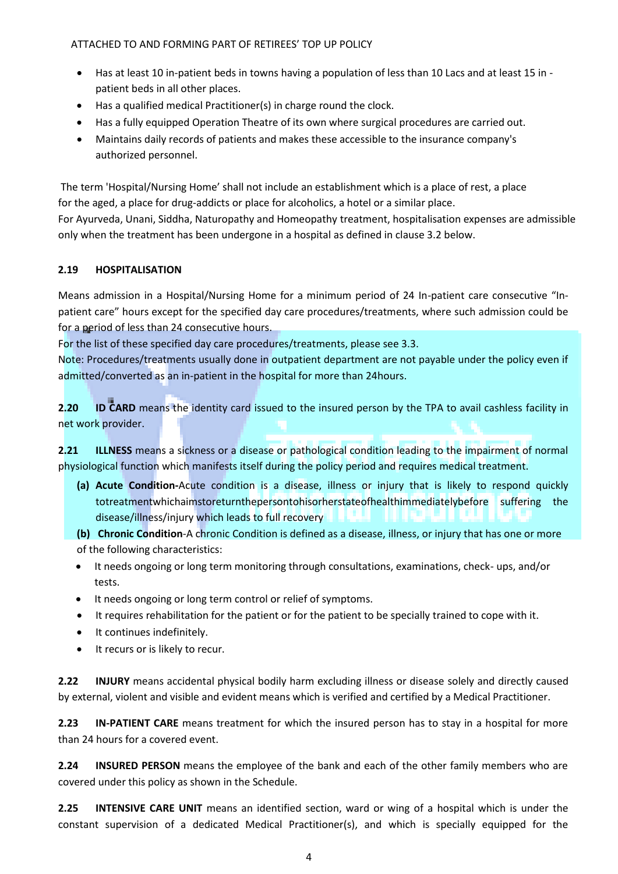- Has at least 10 in-patient beds in towns having a population of less than 10 Lacs and at least 15 in patient beds in all other places.
- Has a qualified medical Practitioner(s) in charge round the clock.
- Has a fully equipped Operation Theatre of its own where surgical procedures are carried out.
- Maintains daily records of patients and makes these accessible to the insurance company's authorized personnel.

The term 'Hospital/Nursing Home' shall not include an establishment which is a place of rest, a place for the aged, a place for drug-addicts or place for alcoholics, a hotel or a similar place.

For Ayurveda, Unani, Siddha, Naturopathy and Homeopathy treatment, hospitalisation expenses are admissible only when the treatment has been undergone in a hospital as defined in clause 3.2 below.

# **2.19 HOSPITALISATION**

Means admission in a Hospital/Nursing Home for a minimum period of 24 In-patient care consecutive "Inpatient care" hours except for the specified day care procedures/treatments, where such admission could be for a period of less than 24 consecutive hours.

For the list of these specified day care procedures/treatments, please see 3.3.

Note: Procedures/treatments usually done in outpatient department are not payable under the policy even if admitted/converted as an in-patient in the hospital for more than 24hours.

**2.20 ID CARD** means the identity card issued to the insured person by the TPA to avail cashless facility in net work provider.

**2.21 ILLNESS** means a sickness or a disease or pathological condition leading to the impairment of normal physiological function which manifests itself during the policy period and requires medical treatment.

**(a) Acute Condition-**Acute condition is a disease, illness or injury that is likely to respond quickly totreatmentwhichaimstoreturnthepersontohisorherstateofhealthimmediatelybefore suffering the disease/illness/injury which leads to full recovery

**(b) Chronic Condition**-A chronic Condition is defined as a disease, illness, or injury that has one or more of the following characteristics:

- It needs ongoing or long term monitoring through consultations, examinations, check- ups, and/or tests.
- It needs ongoing or long term control or relief of symptoms.
- It requires rehabilitation for the patient or for the patient to be specially trained to cope with it.
- It continues indefinitely.
- It recurs or is likely to recur.

**2.22 INJURY** means accidental physical bodily harm excluding illness or disease solely and directly caused by external, violent and visible and evident means which is verified and certified by a Medical Practitioner.

**2.23 IN-PATIENT CARE** means treatment for which the insured person has to stay in a hospital for more than 24 hours for a covered event.

**2.24 INSURED PERSON** means the employee of the bank and each of the other family members who are covered under this policy as shown in the Schedule.

**2.25 INTENSIVE CARE UNIT** means an identified section, ward or wing of a hospital which is under the constant supervision of a dedicated Medical Practitioner(s), and which is specially equipped for the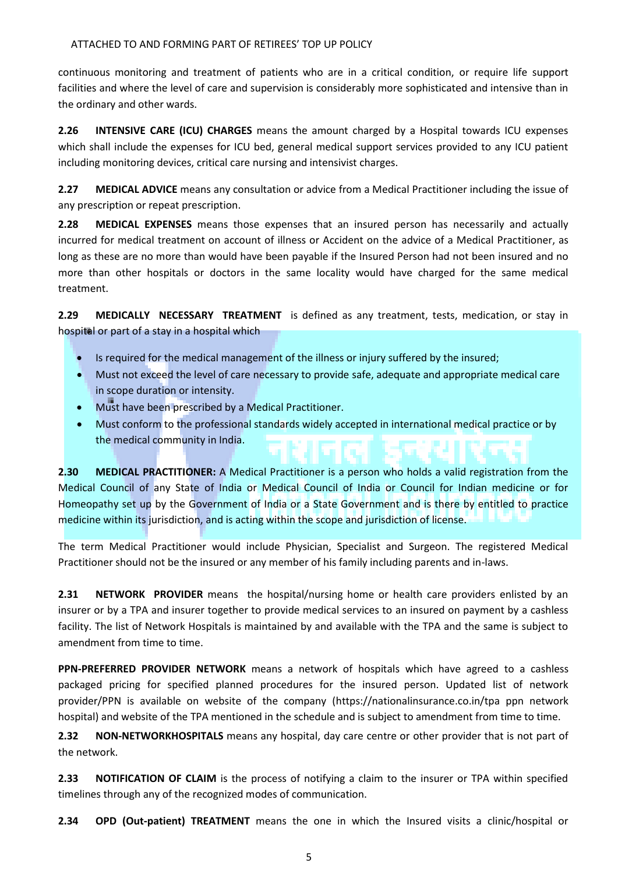continuous monitoring and treatment of patients who are in a critical condition, or require life support facilities and where the level of care and supervision is considerably more sophisticated and intensive than in the ordinary and other wards.

**2.26 INTENSIVE CARE (ICU) CHARGES** means the amount charged by a Hospital towards ICU expenses which shall include the expenses for ICU bed, general medical support services provided to any ICU patient including monitoring devices, critical care nursing and intensivist charges.

**2.27 MEDICAL ADVICE** means any consultation or advice from a Medical Practitioner including the issue of any prescription or repeat prescription.

**2.28 MEDICAL EXPENSES** means those expenses that an insured person has necessarily and actually incurred for medical treatment on account of illness or Accident on the advice of a Medical Practitioner, as long as these are no more than would have been payable if the Insured Person had not been insured and no more than other hospitals or doctors in the same locality would have charged for the same medical treatment.

**2.29 MEDICALLY NECESSARY TREATMENT** is defined as any treatment, tests, medication, or stay in hospital or part of a stay in a hospital which

- Is required for the medical management of the illness or injury suffered by the insured;
- Must not exceed the level of care necessary to provide safe, adequate and appropriate medical care in scope duration or intensity.
- $\bullet$  Must have been prescribed by a Medical Practitioner.
- Must conform to the professional standards widely accepted in international medical practice or by the medical community in India.

**2.30 MEDICAL PRACTITIONER:** A Medical Practitioner is a person who holds a valid registration from the Medical Council of any State of India or Medical Council of India or Council for Indian medicine or for Homeopathy set up by the Government of India or a State Government and is there by entitled to practice medicine within its jurisdiction, and is acting within the scope and jurisdiction of license.

The term Medical Practitioner would include Physician, Specialist and Surgeon. The registered Medical Practitioner should not be the insured or any member of his family including parents and in-laws.

**2.31 NETWORK PROVIDER** means the hospital/nursing home or health care providers enlisted by an insurer or by a TPA and insurer together to provide medical services to an insured on payment by a cashless facility. The list of Network Hospitals is maintained by and available with the TPA and the same is subject to amendment from time to time.

**PPN-PREFERRED PROVIDER NETWORK** means a network of hospitals which have agreed to a cashless packaged pricing for specified planned procedures for the insured person. Updated list of network provider/PPN is available on website of the company [\(https://nationalinsurance.co.in/tpa](https://nationalinsurance.co.in/tpa) ppn network hospital) and website of the TPA mentioned in the schedule and is subject to amendment from time to time.

**2.32 NON-NETWORKHOSPITALS** means any hospital, day care centre or other provider that is not part of the network.

**2.33 NOTIFICATION OF CLAIM** is the process of notifying a claim to the insurer or TPA within specified timelines through any of the recognized modes of communication.

**2.34 OPD (Out-patient) TREATMENT** means the one in which the Insured visits a clinic/hospital or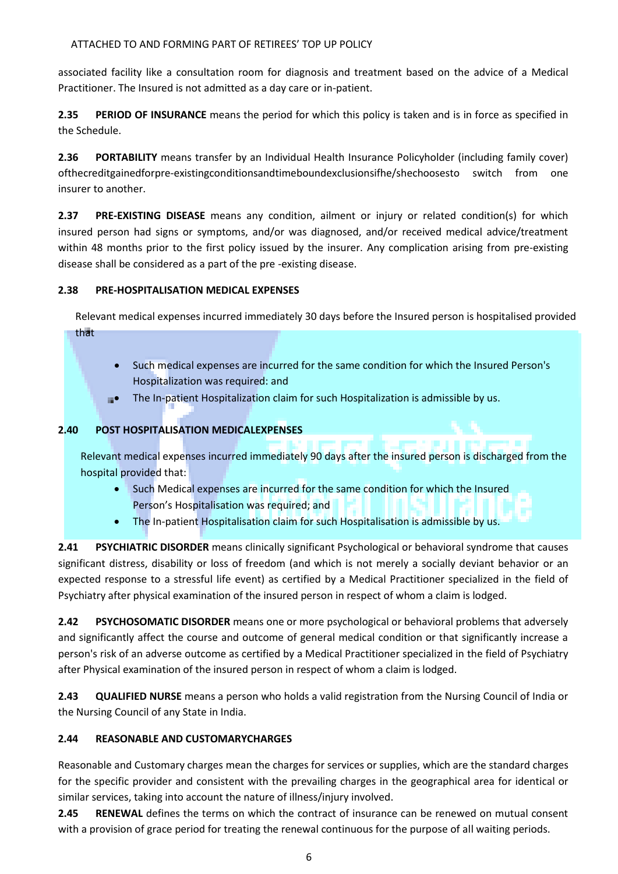associated facility like a consultation room for diagnosis and treatment based on the advice of a Medical Practitioner. The Insured is not admitted as a day care or in-patient.

**2.35 PERIOD OF INSURANCE** means the period for which this policy is taken and is in force as specified in the Schedule.

**2.36 PORTABILITY** means transfer by an Individual Health Insurance Policyholder (including family cover) ofthecreditgainedforpre-existingconditionsandtimeboundexclusionsifhe/shechoosesto switch from one insurer to another.

**2.37 PRE-EXISTING DISEASE** means any condition, ailment or injury or related condition(s) for which insured person had signs or symptoms, and/or was diagnosed, and/or received medical advice/treatment within 48 months prior to the first policy issued by the insurer. Any complication arising from pre-existing disease shall be considered as a part of the pre -existing disease.

# **2.38 PRE-HOSPITALISATION MEDICAL EXPENSES**

Relevant medical expenses incurred immediately 30 days before the Insured person is hospitalised provided that

- Such medical expenses are incurred for the same condition for which the Insured Person's Hospitalization was required: and
- **The In-patient Hospitalization claim for such Hospitalization is admissible by us.**

# **2.40 POST HOSPITALISATION MEDICALEXPENSES**

Relevant medical expenses incurred immediately 90 days after the insured person is discharged from the hospital provided that:

- Such Medical expenses are incurred for the same condition for which the Insured Person's Hospitalisation was required; and
- The In-patient Hospitalisation claim for such Hospitalisation is admissible by us.

**2.41 PSYCHIATRIC DISORDER** means clinically significant Psychological or behavioral syndrome that causes significant distress, disability or loss of freedom (and which is not merely a socially deviant behavior or an expected response to a stressful life event) as certified by a Medical Practitioner specialized in the field of Psychiatry after physical examination of the insured person in respect of whom a claim is lodged.

**2.42 PSYCHOSOMATIC DISORDER** means one or more psychological or behavioral problems that adversely and significantly affect the course and outcome of general medical condition or that significantly increase a person's risk of an adverse outcome as certified by a Medical Practitioner specialized in the field of Psychiatry after Physical examination of the insured person in respect of whom a claim is lodged.

**2.43 QUALIFIED NURSE** means a person who holds a valid registration from the Nursing Council of India or the Nursing Council of any State in India.

# **2.44 REASONABLE AND CUSTOMARYCHARGES**

Reasonable and Customary charges mean the charges for services or supplies, which are the standard charges for the specific provider and consistent with the prevailing charges in the geographical area for identical or similar services, taking into account the nature of illness/injury involved.

**2.45 RENEWAL** defines the terms on which the contract of insurance can be renewed on mutual consent with a provision of grace period for treating the renewal continuous for the purpose of all waiting periods.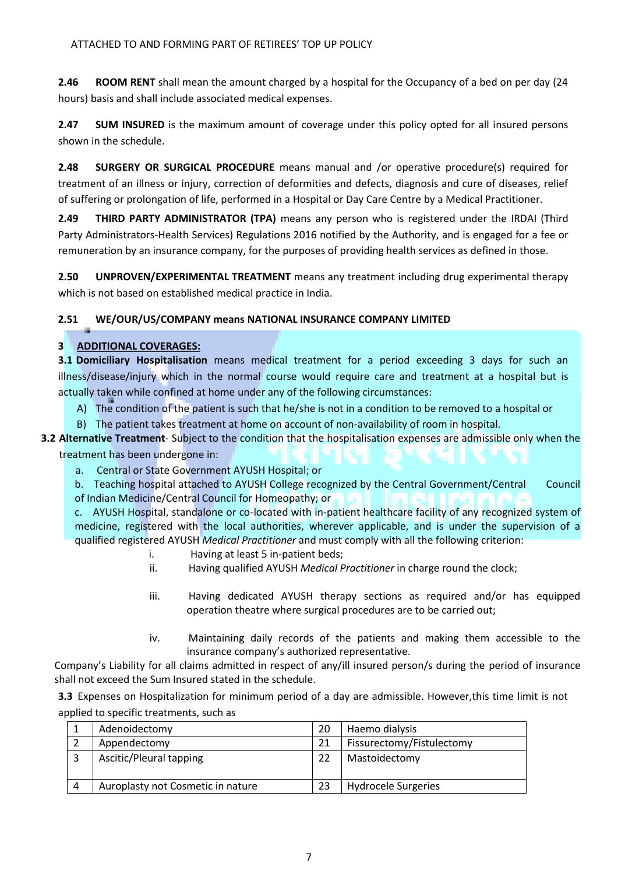**2.46 ROOM RENT** shall mean the amount charged by a hospital for the Occupancy of a bed on per day (24 hours) basis and shall include associated medical expenses.

**2.47 SUM INSURED** is the maximum amount of coverage under this policy opted for all insured persons shown in the schedule.

**2.48 SURGERY OR SURGICAL PROCEDURE** means manual and /or operative procedure(s) required for treatment of an illness or injury, correction of deformities and defects, diagnosis and cure of diseases, relief of suffering or prolongation of life, performed in a Hospital or Day Care Centre by a Medical Practitioner.

**2.49 THIRD PARTY ADMINISTRATOR (TPA)** means any person who is registered under the IRDAI (Third Party Administrators-Health Services) Regulations 2016 notified by the Authority, and is engaged for a fee or remuneration by an insurance company, for the purposes of providing health services as defined in those.

**2.50 UNPROVEN/EXPERIMENTAL TREATMENT** means any treatment including drug experimental therapy which is not based on established medical practice in India.

# **2.51 WE/OUR/US/COMPANY means NATIONAL INSURANCE COMPANY LIMITED**

# **3 ADDITIONAL COVERAGES:**

**3.1 Domiciliary Hospitalisation** means medical treatment for a period exceeding 3 days for such an illness/disease/injury which in the normal course would require care and treatment at a hospital but is actually taken while confined at home under any of the following circumstances:

- A) The condition of the patient is such that he/she is not in a condition to be removed to a hospital or
- B) The patient takes treatment at home on account of non-availability of room in hospital.

**3.2 Alternative Treatment**- Subject to the condition that the hospitalisation expenses are admissible only when the treatment has been undergone in:

a. Central or State Government AYUSH Hospital; or

b. Teaching hospital attached to AYUSH College recognized by the Central Government/Central Council of Indian Medicine/Central Council for Homeopathy; or

c. AYUSH Hospital, standalone or co-located with in-patient healthcare facility of any recognized system of medicine, registered with the local authorities, wherever applicable, and is under the supervision of a qualified registered AYUSH *Medical Practitioner* and must comply with all the following criterion:

- i. Having at least 5 in-patient beds;
- ii. Having qualified AYUSH *Medical Practitioner* in charge round the clock;
- iii. Having dedicated AYUSH therapy sections as required and/or has equipped operation theatre where surgical procedures are to be carried out;
- iv. Maintaining daily records of the patients and making them accessible to the insurance company's authorized representative.

Company's Liability for all claims admitted in respect of any/ill insured person/s during the period of insurance shall not exceed the Sum Insured stated in the schedule.

**3.3** Expenses on Hospitalization for minimum period of a day are admissible. However,this time limit is not applied to specific treatments, such as

|   | Adenoidectomy                     | 20 | Haemo dialysis            |
|---|-----------------------------------|----|---------------------------|
|   | Appendectomy                      | 21 | Fissurectomy/Fistulectomy |
|   | Ascitic/Pleural tapping           | 22 | Mastoidectomy             |
| Δ | Auroplasty not Cosmetic in nature | 23 | Hydrocele Surgeries       |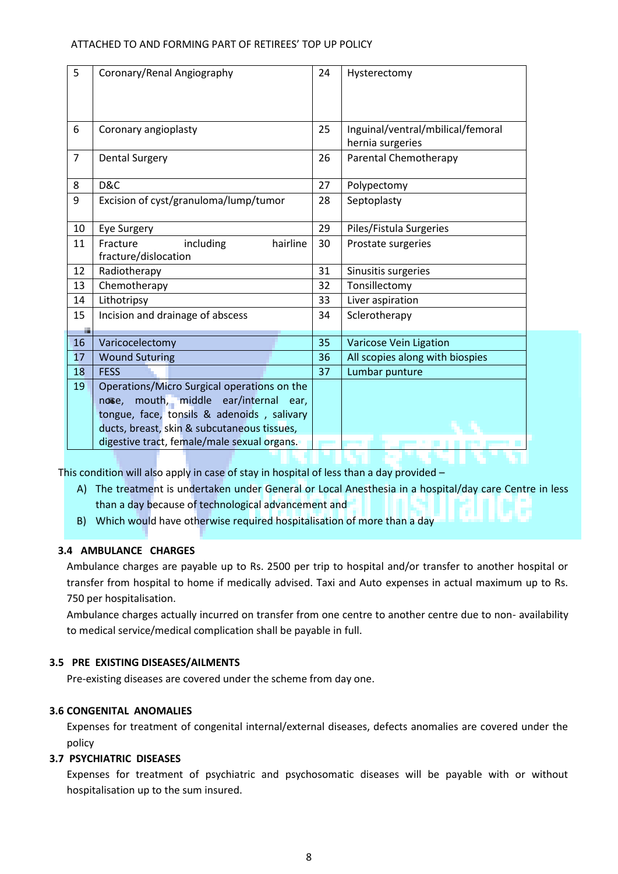| 5              | Coronary/Renal Angiography                  | 24 | Hysterectomy                      |
|----------------|---------------------------------------------|----|-----------------------------------|
|                |                                             |    |                                   |
|                |                                             |    |                                   |
| 6              | Coronary angioplasty                        | 25 | Inguinal/ventral/mbilical/femoral |
|                |                                             |    | hernia surgeries                  |
| $\overline{7}$ | <b>Dental Surgery</b>                       | 26 | Parental Chemotherapy             |
| 8              | D&C                                         | 27 | Polypectomy                       |
| 9              | Excision of cyst/granuloma/lump/tumor       | 28 | Septoplasty                       |
|                |                                             |    |                                   |
| 10             | Eye Surgery                                 | 29 | Piles/Fistula Surgeries           |
| 11             | including<br>hairline<br>Fracture           | 30 | Prostate surgeries                |
|                | fracture/dislocation                        |    |                                   |
| 12             | Radiotherapy                                | 31 | Sinusitis surgeries               |
| 13             | Chemotherapy                                | 32 | Tonsillectomy                     |
| 14             | Lithotripsy                                 | 33 | Liver aspiration                  |
| 15             | Incision and drainage of abscess            | 34 | Sclerotherapy                     |
| п              |                                             |    |                                   |
| 16             | Varicocelectomy                             | 35 | Varicose Vein Ligation            |
| 17             | <b>Wound Suturing</b>                       | 36 | All scopies along with biospies   |
| 18             | <b>FESS</b>                                 | 37 | Lumbar punture                    |
| 19             | Operations/Micro Surgical operations on the |    |                                   |
|                | mouth, middle ear/internal<br>nose,<br>ear, |    |                                   |
|                | tongue, face, tonsils & adenoids, salivary  |    |                                   |
|                | ducts, breast, skin & subcutaneous tissues, |    |                                   |
|                | digestive tract, female/male sexual organs. |    |                                   |
|                |                                             |    |                                   |

This condition will also apply in case of stay in hospital of less than a day provided  $-$ 

- A) The treatment is undertaken under General or Local Anesthesia in a hospital/day care Centre in less than a day because of technological advancement and
- B) Which would have otherwise required hospitalisation of more than a day

# **3.4 AMBULANCE CHARGES**

Ambulance charges are payable up to Rs. 2500 per trip to hospital and/or transfer to another hospital or transfer from hospital to home if medically advised. Taxi and Auto expenses in actual maximum up to Rs. 750 per hospitalisation.

Ambulance charges actually incurred on transfer from one centre to another centre due to non- availability to medical service/medical complication shall be payable in full.

# **3.5 PRE EXISTING DISEASES/AILMENTS**

Pre-existing diseases are covered under the scheme from day one.

# **3.6 CONGENITAL ANOMALIES**

Expenses for treatment of congenital internal/external diseases, defects anomalies are covered under the policy

# **3.7 PSYCHIATRIC DISEASES**

Expenses for treatment of psychiatric and psychosomatic diseases will be payable with or without hospitalisation up to the sum insured.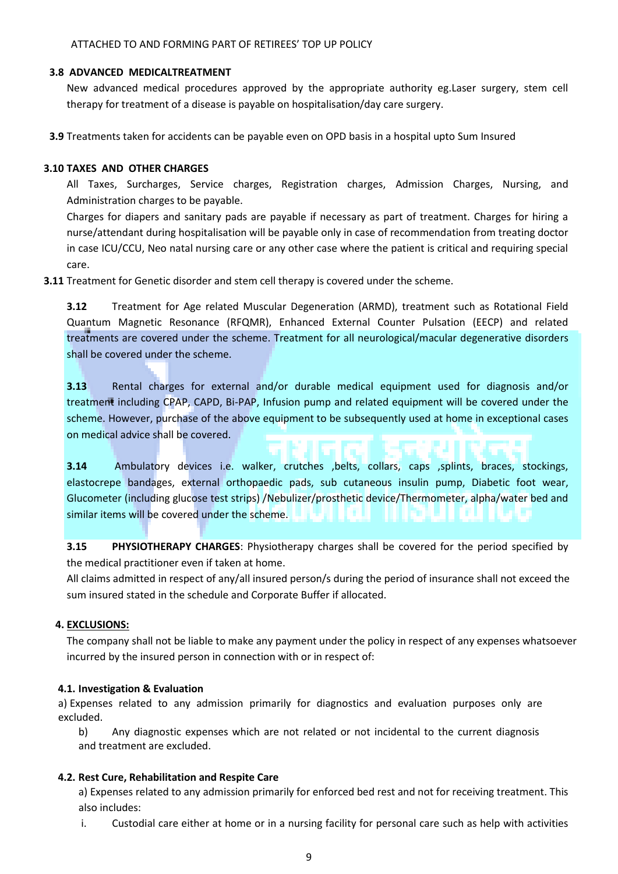### **3.8 ADVANCED MEDICALTREATMENT**

New advanced medical procedures approved by the appropriate authority eg.Laser surgery, stem cell therapy for treatment of a disease is payable on hospitalisation/day care surgery.

**3.9** Treatments taken for accidents can be payable even on OPD basis in a hospital upto Sum Insured

### **3.10 TAXES AND OTHER CHARGES**

All Taxes, Surcharges, Service charges, Registration charges, Admission Charges, Nursing, and Administration charges to be payable.

Charges for diapers and sanitary pads are payable if necessary as part of treatment. Charges for hiring a nurse/attendant during hospitalisation will be payable only in case of recommendation from treating doctor in case ICU/CCU, Neo natal nursing care or any other case where the patient is critical and requiring special care.

**3.11** Treatment for Genetic disorder and stem cell therapy is covered under the scheme.

**3.12** Treatment for Age related Muscular Degeneration (ARMD), treatment such as Rotational Field Quantum Magnetic Resonance (RFQMR), Enhanced External Counter Pulsation (EECP) and related treatments are covered under the scheme. Treatment for all neurological/macular degenerative disorders shall be covered under the scheme.

**3.13** Rental charges for external and/or durable medical equipment used for diagnosis and/or treatment including CPAP, CAPD, Bi-PAP, Infusion pump and related equipment will be covered under the scheme. However, purchase of the above equipment to be subsequently used at home in exceptional cases on medical advice shall be covered.

**3.14** Ambulatory devices i.e. walker, crutches ,belts, collars, caps ,splints, braces, stockings, elastocrepe bandages, external orthopaedic pads, sub cutaneous insulin pump, Diabetic foot wear, Glucometer (including glucose test strips) /Nebulizer/prosthetic device/Thermometer, alpha/water bed and similar items will be covered under the scheme.

**3.15 PHYSIOTHERAPY CHARGES**: Physiotherapy charges shall be covered for the period specified by the medical practitioner even if taken at home.

All claims admitted in respect of any/all insured person/s during the period of insurance shall not exceed the sum insured stated in the schedule and Corporate Buffer if allocated.

# **4. EXCLUSIONS:**

The company shall not be liable to make any payment under the policy in respect of any expenses whatsoever incurred by the insured person in connection with or in respect of:

### **4.1. Investigation & Evaluation**

a) Expenses related to any admission primarily for diagnostics and evaluation purposes only are excluded.

b) Any diagnostic expenses which are not related or not incidental to the current diagnosis and treatment are excluded.

# **4.2. Rest Cure, Rehabilitation and Respite Care**

a) Expenses related to any admission primarily for enforced bed rest and not for receiving treatment. This also includes:

i. Custodial care either at home or in a nursing facility for personal care such as help with activities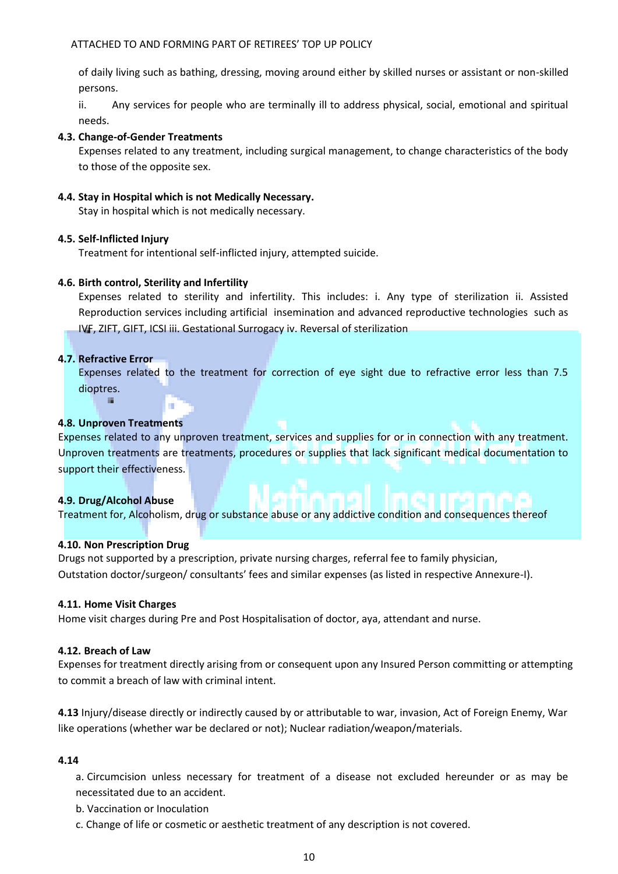of daily living such as bathing, dressing, moving around either by skilled nurses or assistant or non-skilled persons.

ii. Any services for people who are terminally ill to address physical, social, emotional and spiritual needs.

### **4.3. Change-of-Gender Treatments**

Expenses related to any treatment, including surgical management, to change characteristics of the body to those of the opposite sex.

## **4.4. Stay in Hospital which is not Medically Necessary.**

Stay in hospital which is not medically necessary.

## **4.5. Self-Inflicted Injury**

Treatment for intentional self-inflicted injury, attempted suicide.

## **4.6. Birth control, Sterility and Infertility**

÷

Expenses related to sterility and infertility. This includes: i. Any type of sterilization ii. Assisted Reproduction services including artificial insemination and advanced reproductive technologies such as IVF, ZIFT, GIFT, ICSI iii. Gestational Surrogacy iv. Reversal of sterilization

# **4.7. Refractive Error**

**Bit** 

Expenses related to the treatment for correction of eye sight due to refractive error less than 7.5 dioptres.

## **4.8. Unproven Treatments**

Expenses related to any unproven treatment, services and supplies for or in connection with any treatment. Unproven treatments are treatments, procedures or supplies that lack significant medical documentation to support their effectiveness.

### **4.9. Drug/Alcohol Abuse**

Treatment for, Alcoholism, drug or substance abuse or any addictive condition and consequences thereof

### **4.10. Non Prescription Drug**

Drugs not supported by a prescription, private nursing charges, referral fee to family physician, Outstation doctor/surgeon/ consultants' fees and similar expenses (as listed in respective Annexure-I).

### **4.11. Home Visit Charges**

Home visit charges during Pre and Post Hospitalisation of doctor, aya, attendant and nurse.

### **4.12. Breach of Law**

Expenses for treatment directly arising from or consequent upon any Insured Person committing or attempting to commit a breach of law with criminal intent.

**4.13** Injury/disease directly or indirectly caused by or attributable to war, invasion, Act of Foreign Enemy, War like operations (whether war be declared or not); Nuclear radiation/weapon/materials.

### **4.14**

a. Circumcision unless necessary for treatment of a disease not excluded hereunder or as may be necessitated due to an accident.

b. Vaccination or Inoculation

c. Change of life or cosmetic or aesthetic treatment of any description is not covered.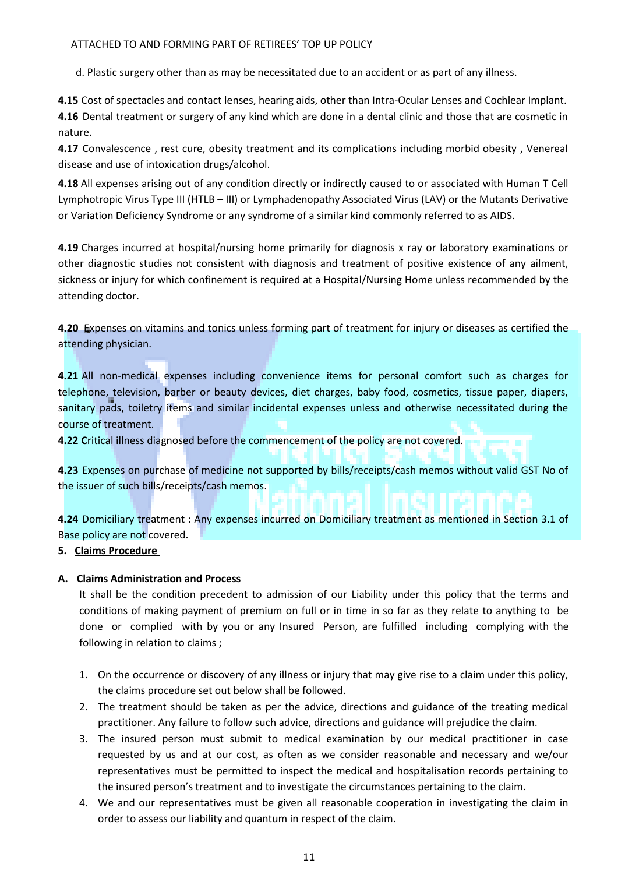d. Plastic surgery other than as may be necessitated due to an accident or as part of any illness.

**4.15** Cost of spectacles and contact lenses, hearing aids, other than Intra-Ocular Lenses and Cochlear Implant. **4.16** Dental treatment or surgery of any kind which are done in a dental clinic and those that are cosmetic in nature.

**4.17** Convalescence , rest cure, obesity treatment and its complications including morbid obesity , Venereal disease and use of intoxication drugs/alcohol.

**4.18** All expenses arising out of any condition directly or indirectly caused to or associated with Human T Cell Lymphotropic Virus Type III (HTLB – III) or Lymphadenopathy Associated Virus (LAV) or the Mutants Derivative or Variation Deficiency Syndrome or any syndrome of a similar kind commonly referred to as AIDS.

**4.19** Charges incurred at hospital/nursing home primarily for diagnosis x ray or laboratory examinations or other diagnostic studies not consistent with diagnosis and treatment of positive existence of any ailment, sickness or injury for which confinement is required at a Hospital/Nursing Home unless recommended by the attending doctor.

**4.20** Expenses on vitamins and tonics unless forming part of treatment for injury or diseases as certified the attending physician.

**4.21** All non-medical expenses including convenience items for personal comfort such as charges for telephone, television, barber or beauty devices, diet charges, baby food, cosmetics, tissue paper, diapers, sanitary pads, toiletry items and similar incidental expenses unless and otherwise necessitated during the course of treatment.

**4.22 C**ritical illness diagnosed before the commencement of the policy are not covered.

**4.23** Expenses on purchase of medicine not supported by bills/receipts/cash memos without valid GST No of the issuer of such bills/receipts/cash memos.

**4.24** Domiciliary treatment : Any expenses incurred on Domiciliary treatment as mentioned in Section 3.1 of Base policy are not covered.

### **5. Claims Procedure**

### **A. Claims Administration and Process**

It shall be the condition precedent to admission of our Liability under this policy that the terms and conditions of making payment of premium on full or in time in so far as they relate to anything to be done or complied with by you or any Insured Person, are fulfilled including complying with the following in relation to claims ;

- 1. On the occurrence or discovery of any illness or injury that may give rise to a claim under this policy, the claims procedure set out below shall be followed.
- 2. The treatment should be taken as per the advice, directions and guidance of the treating medical practitioner. Any failure to follow such advice, directions and guidance will prejudice the claim.
- 3. The insured person must submit to medical examination by our medical practitioner in case requested by us and at our cost, as often as we consider reasonable and necessary and we/our representatives must be permitted to inspect the medical and hospitalisation records pertaining to the insured person's treatment and to investigate the circumstances pertaining to the claim.
- 4. We and our representatives must be given all reasonable cooperation in investigating the claim in order to assess our liability and quantum in respect of the claim.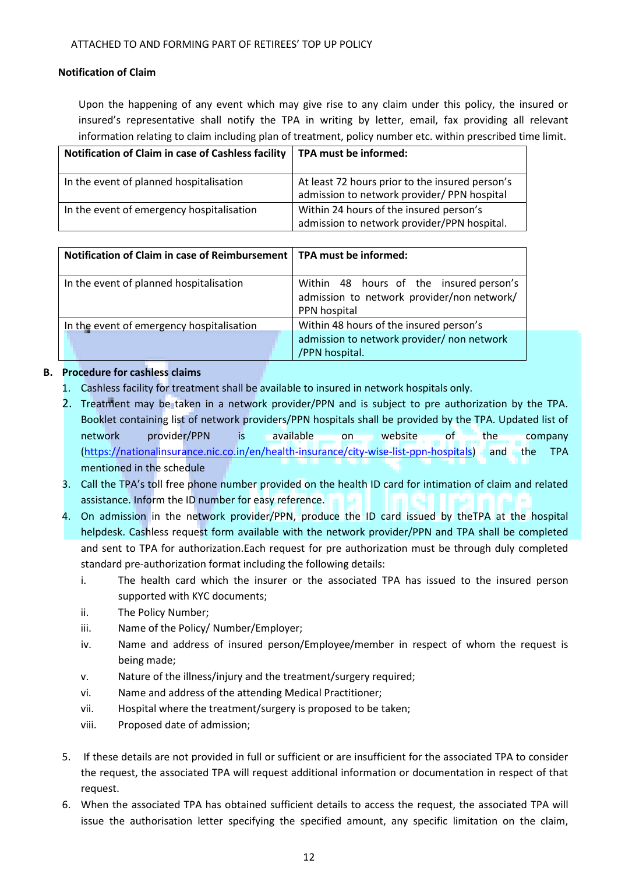# **Notification of Claim**

Upon the happening of any event which may give rise to any claim under this policy, the insured or insured's representative shall notify the TPA in writing by letter, email, fax providing all relevant information relating to claim including plan of treatment, policy number etc. within prescribed time limit.

| Notification of Claim in case of Cashless facility | TPA must be informed:                                                                          |
|----------------------------------------------------|------------------------------------------------------------------------------------------------|
| In the event of planned hospitalisation            | At least 72 hours prior to the insured person's<br>admission to network provider/ PPN hospital |
| In the event of emergency hospitalisation          | Within 24 hours of the insured person's<br>admission to network provider/PPN hospital.         |

| Notification of Claim in case of Reimbursement   TPA must be informed: |                                                                                                       |
|------------------------------------------------------------------------|-------------------------------------------------------------------------------------------------------|
| In the event of planned hospitalisation                                | Within 48 hours of the insured person's<br>admission to network provider/non network/<br>PPN hospital |
| In the event of emergency hospitalisation                              | Within 48 hours of the insured person's                                                               |
|                                                                        | admission to network provider/ non network<br>/PPN hospital.                                          |

# **B. Procedure for cashless claims**

- 1. Cashless facility for treatment shall be available to insured in network hospitals only.
- 2. Treatment may be taken in a network provider/PPN and is subject to pre authorization by the TPA. Booklet containing list of network providers/PPN hospitals shall be provided by the TPA. Updated list of network provider/PPN is available on website of the company [\(https://nationalinsurance.nic.co.in/en/health-insurance/city-wise-list-ppn-hospitals\)](https://nationalinsurance.nic.co.in/en/health-insurance/city-wise-list-ppn-hospitals) and the TPA mentioned in the schedule
- 3. Call the TPA's toll free phone number provided on the health ID card for intimation of claim and related assistance. Inform the ID number for easy reference.
- 4. On admission in the network provider/PPN, produce the ID card issued by theTPA at the hospital helpdesk. Cashless request form available with the network provider/PPN and TPA shall be completed and sent to TPA for authorization.Each request for pre authorization must be through duly completed standard pre-authorization format including the following details:
	- i. The health card which the insurer or the associated TPA has issued to the insured person supported with KYC documents;
	- ii. The Policy Number;
	- iii. Name of the Policy/ Number/Employer;
	- iv. Name and address of insured person/Employee/member in respect of whom the request is being made;
	- v. Nature of the illness/injury and the treatment/surgery required;
	- vi. Name and address of the attending Medical Practitioner;
	- vii. Hospital where the treatment/surgery is proposed to be taken;
	- viii. Proposed date of admission;
- 5. If these details are not provided in full or sufficient or are insufficient for the associated TPA to consider the request, the associated TPA will request additional information or documentation in respect of that request.
- 6. When the associated TPA has obtained sufficient details to access the request, the associated TPA will issue the authorisation letter specifying the specified amount, any specific limitation on the claim,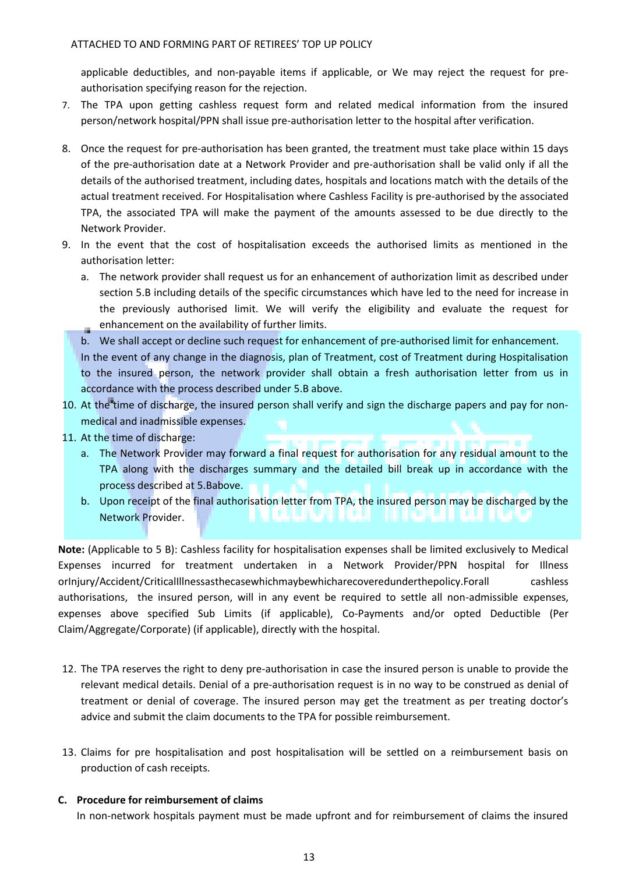applicable deductibles, and non-payable items if applicable, or We may reject the request for preauthorisation specifying reason for the rejection.

- 7. The TPA upon getting cashless request form and related medical information from the insured person/network hospital/PPN shall issue pre-authorisation letter to the hospital after verification.
- 8. Once the request for pre-authorisation has been granted, the treatment must take place within 15 days of the pre-authorisation date at a Network Provider and pre-authorisation shall be valid only if all the details of the authorised treatment, including dates, hospitals and locations match with the details of the actual treatment received. For Hospitalisation where Cashless Facility is pre-authorised by the associated TPA, the associated TPA will make the payment of the amounts assessed to be due directly to the Network Provider.
- 9. In the event that the cost of hospitalisation exceeds the authorised limits as mentioned in the authorisation letter:
	- a. The network provider shall request us for an enhancement of authorization limit as described under section 5.B including details of the specific circumstances which have led to the need for increase in the previously authorised limit. We will verify the eligibility and evaluate the request for enhancement on the availability of further limits.

b. We shall accept or decline such request for enhancement of pre-authorised limit for enhancement. In the event of any change in the diagnosis, plan of Treatment, cost of Treatment during Hospitalisation to the insured person, the network provider shall obtain a fresh authorisation letter from us in accordance with the process described under 5.B above.

- 10. At the time of discharge, the insured person shall verify and sign the discharge papers and pay for nonmedical and inadmissible expenses.
- 11. At the time of discharge:
	- a. The Network Provider may forward a final request for authorisation for any residual amount to the TPA along with the discharges summary and the detailed bill break up in accordance with the process described at 5.Babove.
	- b. Upon receipt of the final authorisation letter from TPA, the insured person may be discharged by the Network Provider. . . . . . . . . . 99 M

**Note:** (Applicable to 5 B): Cashless facility for hospitalisation expenses shall be limited exclusively to Medical Expenses incurred for treatment undertaken in a Network Provider/PPN hospital for Illness orInjury/Accident/CriticalIllnessasthecasewhichmaybewhicharecoveredunderthepolicy.Forall cashless authorisations, the insured person, will in any event be required to settle all non-admissible expenses, expenses above specified Sub Limits (if applicable), Co-Payments and/or opted Deductible (Per Claim/Aggregate/Corporate) (if applicable), directly with the hospital.

- 12. The TPA reserves the right to deny pre-authorisation in case the insured person is unable to provide the relevant medical details. Denial of a pre-authorisation request is in no way to be construed as denial of treatment or denial of coverage. The insured person may get the treatment as per treating doctor's advice and submit the claim documents to the TPA for possible reimbursement.
- 13. Claims for pre hospitalisation and post hospitalisation will be settled on a reimbursement basis on production of cash receipts.

# **C. Procedure for reimbursement of claims** In non-network hospitals payment must be made upfront and for reimbursement of claims the insured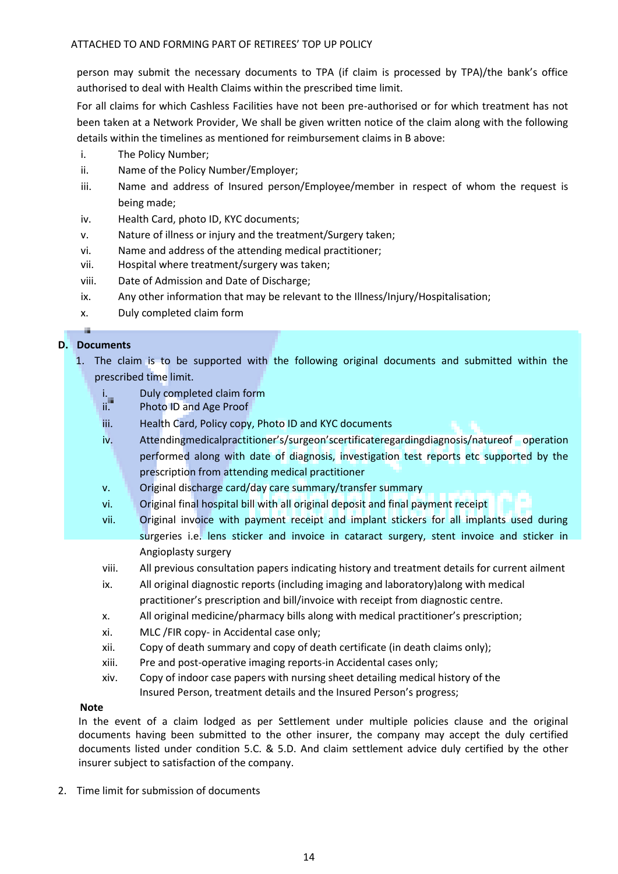person may submit the necessary documents to TPA (if claim is processed by TPA)/the bank's office authorised to deal with Health Claims within the prescribed time limit.

For all claims for which Cashless Facilities have not been pre-authorised or for which treatment has not been taken at a Network Provider, We shall be given written notice of the claim along with the following details within the timelines as mentioned for reimbursement claims in B above:

- i. The Policy Number;
- ii. Name of the Policy Number/Employer;
- iii. Name and address of Insured person/Employee/member in respect of whom the request is being made;
- iv. Health Card, photo ID, KYC documents;
- v. Nature of illness or injury and the treatment/Surgery taken;
- vi. Name and address of the attending medical practitioner;
- vii. Hospital where treatment/surgery was taken;
- viii. Date of Admission and Date of Discharge;
- ix. Any other information that may be relevant to the Illness/Injury/Hospitalisation;
- x. Duly completed claim form

#### ц. **D. Documents**

- 1. The claim is to be supported with the following original documents and submitted within the prescribed time limit.
	- i. Duly completed claim form
	- ii. Photo ID and Age Proof
	- iii. Health Card, Policy copy, Photo ID and KYC documents
	- iv. Attendingmedicalpractitioner's/surgeon'scertificateregardingdiagnosis/natureof operation performed along with date of diagnosis, investigation test reports etc supported by the prescription from attending medical practitioner
	- v. Original discharge card/day care summary/transfer summary
	- vi. Original final hospital bill with all original deposit and final payment receipt
	- vii. Original invoice with payment receipt and implant stickers for all implants used during surgeries i.e. lens sticker and invoice in cataract surgery, stent invoice and sticker in Angioplasty surgery
	- viii. All previous consultation papers indicating history and treatment details for current ailment
	- ix. All original diagnostic reports (including imaging and laboratory)along with medical practitioner's prescription and bill/invoice with receipt from diagnostic centre.
	- x. All original medicine/pharmacy bills along with medical practitioner's prescription;
	- xi. MLC /FIR copy- in Accidental case only;
	- xii. Copy of death summary and copy of death certificate (in death claims only);
	- xiii. Pre and post-operative imaging reports-in Accidental cases only;
	- xiv. Copy of indoor case papers with nursing sheet detailing medical history of the Insured Person, treatment details and the Insured Person's progress;

# **Note**

In the event of a claim lodged as per Settlement under multiple policies clause and the original documents having been submitted to the other insurer, the company may accept the duly certified documents listed under condition 5.C. & 5.D. And claim settlement advice duly certified by the other insurer subject to satisfaction of the company.

2. Time limit for submission of documents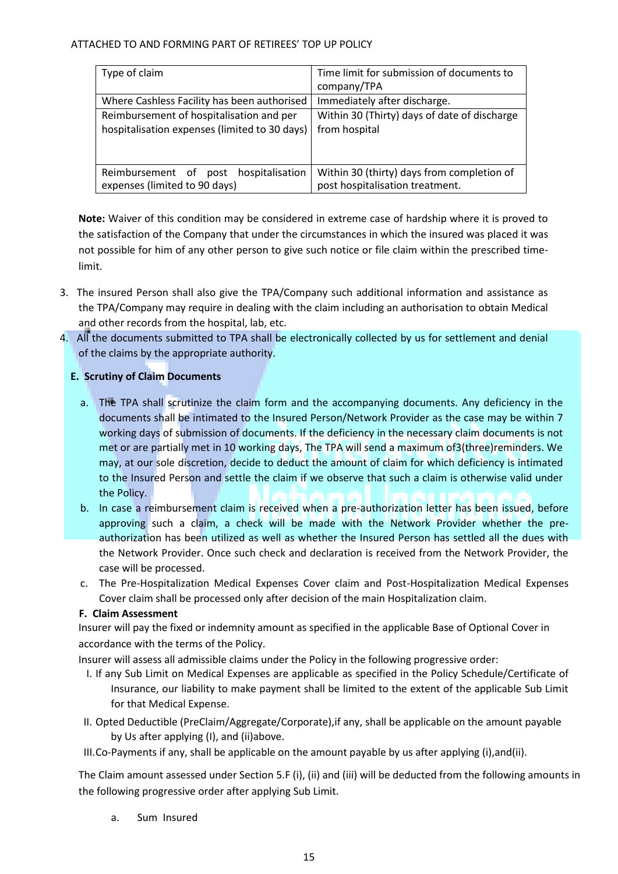| Type of claim                                 | Time limit for submission of documents to    |
|-----------------------------------------------|----------------------------------------------|
|                                               | company/TPA                                  |
| Where Cashless Facility has been authorised   | Immediately after discharge.                 |
| Reimbursement of hospitalisation and per      | Within 30 (Thirty) days of date of discharge |
| hospitalisation expenses (limited to 30 days) | from hospital                                |
|                                               |                                              |
|                                               |                                              |
| Reimbursement of post<br>hospitalisation      | Within 30 (thirty) days from completion of   |
| expenses (limited to 90 days)                 | post hospitalisation treatment.              |

**Note:** Waiver of this condition may be considered in extreme case of hardship where it is proved to the satisfaction of the Company that under the circumstances in which the insured was placed it was not possible for him of any other person to give such notice or file claim within the prescribed timelimit.

- 3. The insured Person shall also give the TPA/Company such additional information and assistance as the TPA/Company may require in dealing with the claim including an authorisation to obtain Medical and other records from the hospital, lab, etc.
- 4. All the documents submitted to TPA shall be electronically collected by us for settlement and denial of the claims by the appropriate authority.

# **E. Scrutiny of Claim Documents**

- a. The TPA shall scrutinize the claim form and the accompanying documents. Any deficiency in the documents shall be intimated to the Insured Person/Network Provider as the case may be within 7 working days of submission of documents. If the deficiency in the necessary claim documents is not met or are partially met in 10 working days, The TPA will send a maximum of3(three)reminders. We may, at our sole discretion, decide to deduct the amount of claim for which deficiency is intimated to the Insured Person and settle the claim if we observe that such a claim is otherwise valid under the Policy.
- b. In case a reimbursement claim is received when a pre-authorization letter has been issued, before approving such a claim, a check will be made with the Network Provider whether the preauthorization has been utilized as well as whether the Insured Person has settled all the dues with the Network Provider. Once such check and declaration is received from the Network Provider, the case will be processed.
- c. The Pre-Hospitalization Medical Expenses Cover claim and Post-Hospitalization Medical Expenses Cover claim shall be processed only after decision of the main Hospitalization claim.

# **F. Claim Assessment**

Insurer will pay the fixed or indemnity amount as specified in the applicable Base of Optional Cover in accordance with the terms of the Policy.

Insurer will assess all admissible claims under the Policy in the following progressive order:

- I. If any Sub Limit on Medical Expenses are applicable as specified in the Policy Schedule/Certificate of Insurance, our liability to make payment shall be limited to the extent of the applicable Sub Limit for that Medical Expense.
- II. Opted Deductible (PreClaim/Aggregate/Corporate),if any, shall be applicable on the amount payable by Us after applying (I), and (ii)above.
- III.Co-Payments if any, shall be applicable on the amount payable by us after applying (i),and(ii).

The Claim amount assessed under Section 5.F (i), (ii) and (iii) will be deducted from the following amounts in the following progressive order after applying Sub Limit.

a. Sum Insured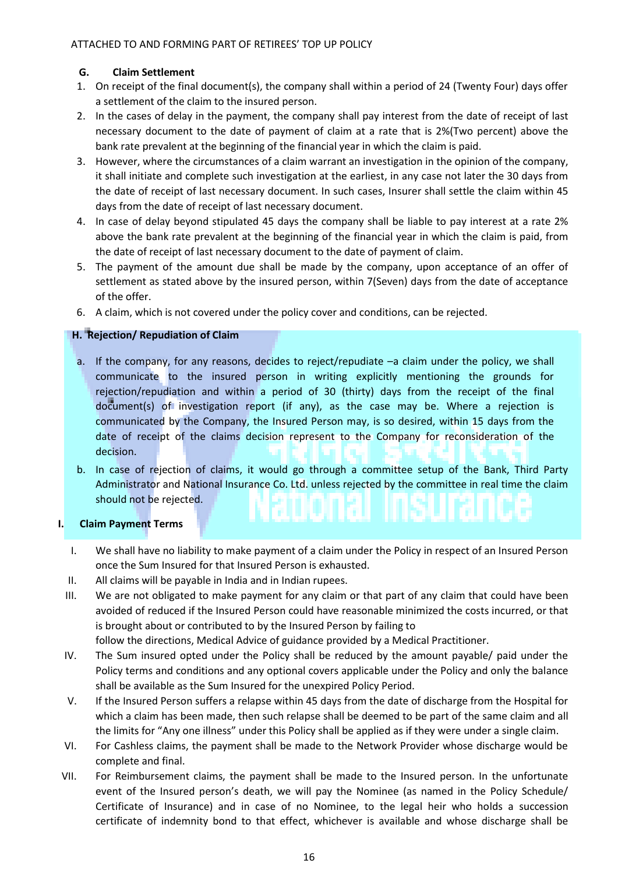# **G. Claim Settlement**

- 1. On receipt of the final document(s), the company shall within a period of 24 (Twenty Four) days offer a settlement of the claim to the insured person.
- 2. In the cases of delay in the payment, the company shall pay interest from the date of receipt of last necessary document to the date of payment of claim at a rate that is 2%(Two percent) above the bank rate prevalent at the beginning of the financial year in which the claim is paid.
- 3. However, where the circumstances of a claim warrant an investigation in the opinion of the company, it shall initiate and complete such investigation at the earliest, in any case not later the 30 days from the date of receipt of last necessary document. In such cases, Insurer shall settle the claim within 45 days from the date of receipt of last necessary document.
- 4. In case of delay beyond stipulated 45 days the company shall be liable to pay interest at a rate 2% above the bank rate prevalent at the beginning of the financial year in which the claim is paid, from the date of receipt of last necessary document to the date of payment of claim.
- 5. The payment of the amount due shall be made by the company, upon acceptance of an offer of settlement as stated above by the insured person, within 7(Seven) days from the date of acceptance of the offer.
- 6. A claim, which is not covered under the policy cover and conditions, can be rejected.

# **H. Rejection/ Repudiation of Claim**

- a. If the company, for any reasons, decides to reject/repudiate –a claim under the policy, we shall communicate to the insured person in writing explicitly mentioning the grounds for rejection/repudiation and within a period of 30 (thirty) days from the receipt of the final document(s) of investigation report (if any), as the case may be. Where a rejection is communicated by the Company, the Insured Person may, is so desired, within 15 days from the date of receipt of the claims decision represent to the Company for reconsideration of the decision.
- b. In case of rejection of claims, it would go through a committee setup of the Bank, Third Party Administrator and National Insurance Co. Ltd. unless rejected by the committee in real time the claim should not be rejected. auona msura

# **I. Claim Payment Terms**

- I. We shall have no liability to make payment of a claim under the Policy in respect of an Insured Person once the Sum Insured for that Insured Person is exhausted.
- II. All claims will be payable in India and in Indian rupees.
- III. We are not obligated to make payment for any claim or that part of any claim that could have been avoided of reduced if the Insured Person could have reasonable minimized the costs incurred, or that is brought about or contributed to by the Insured Person by failing to
	- follow the directions, Medical Advice of guidance provided by a Medical Practitioner.
- IV. The Sum insured opted under the Policy shall be reduced by the amount payable/ paid under the Policy terms and conditions and any optional covers applicable under the Policy and only the balance shall be available as the Sum Insured for the unexpired Policy Period.
- V. If the Insured Person suffers a relapse within 45 days from the date of discharge from the Hospital for which a claim has been made, then such relapse shall be deemed to be part of the same claim and all the limits for "Any one illness" under this Policy shall be applied as if they were under a single claim.
- VI. For Cashless claims, the payment shall be made to the Network Provider whose discharge would be complete and final.
- VII. For Reimbursement claims, the payment shall be made to the Insured person. In the unfortunate event of the Insured person's death, we will pay the Nominee (as named in the Policy Schedule/ Certificate of Insurance) and in case of no Nominee, to the legal heir who holds a succession certificate of indemnity bond to that effect, whichever is available and whose discharge shall be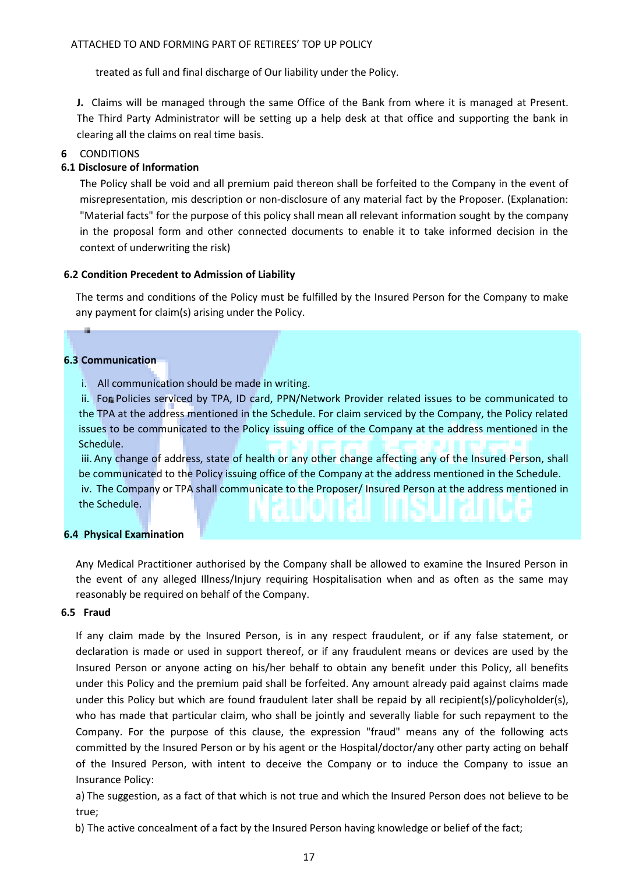treated as full and final discharge of Our liability under the Policy.

**J.** Claims will be managed through the same Office of the Bank from where it is managed at Present. The Third Party Administrator will be setting up a help desk at that office and supporting the bank in clearing all the claims on real time basis.

### **6** CONDITIONS

## **6.1 Disclosure of Information**

The Policy shall be void and all premium paid thereon shall be forfeited to the Company in the event of misrepresentation, mis description or non-disclosure of any material fact by the Proposer. (Explanation: "Material facts" for the purpose of this policy shall mean all relevant information sought by the company in the proposal form and other connected documents to enable it to take informed decision in the context of underwriting the risk)

### **6.2 Condition Precedent to Admission of Liability**

The terms and conditions of the Policy must be fulfilled by the Insured Person for the Company to make any payment for claim(s) arising under the Policy.

## **6.3 Communication**

a,

i. All communication should be made in writing.

ii. For Policies serviced by TPA, ID card, PPN/Network Provider related issues to be communicated to the TPA at the address mentioned in the Schedule. For claim serviced by the Company, the Policy related issues to be communicated to the Policy issuing office of the Company at the address mentioned in the Schedule.

iii. Any change of address, state of health or any other change affecting any of the Insured Person, shall be communicated to the Policy issuing office of the Company at the address mentioned in the Schedule. iv. The Company or TPA shall communicate to the Proposer/ Insured Person at the address mentioned in the Schedule. авена нюана

### **6.4 Physical Examination**

Any Medical Practitioner authorised by the Company shall be allowed to examine the Insured Person in the event of any alleged Illness/Injury requiring Hospitalisation when and as often as the same may reasonably be required on behalf of the Company.

#### **6.5 Fraud**

If any claim made by the Insured Person, is in any respect fraudulent, or if any false statement, or declaration is made or used in support thereof, or if any fraudulent means or devices are used by the Insured Person or anyone acting on his/her behalf to obtain any benefit under this Policy, all benefits under this Policy and the premium paid shall be forfeited. Any amount already paid against claims made under this Policy but which are found fraudulent later shall be repaid by all recipient(s)/policyholder(s), who has made that particular claim, who shall be jointly and severally liable for such repayment to the Company. For the purpose of this clause, the expression "fraud" means any of the following acts committed by the Insured Person or by his agent or the Hospital/doctor/any other party acting on behalf of the Insured Person, with intent to deceive the Company or to induce the Company to issue an Insurance Policy:

a) The suggestion, as a fact of that which is not true and which the Insured Person does not believe to be true;

b) The active concealment of a fact by the Insured Person having knowledge or belief of the fact;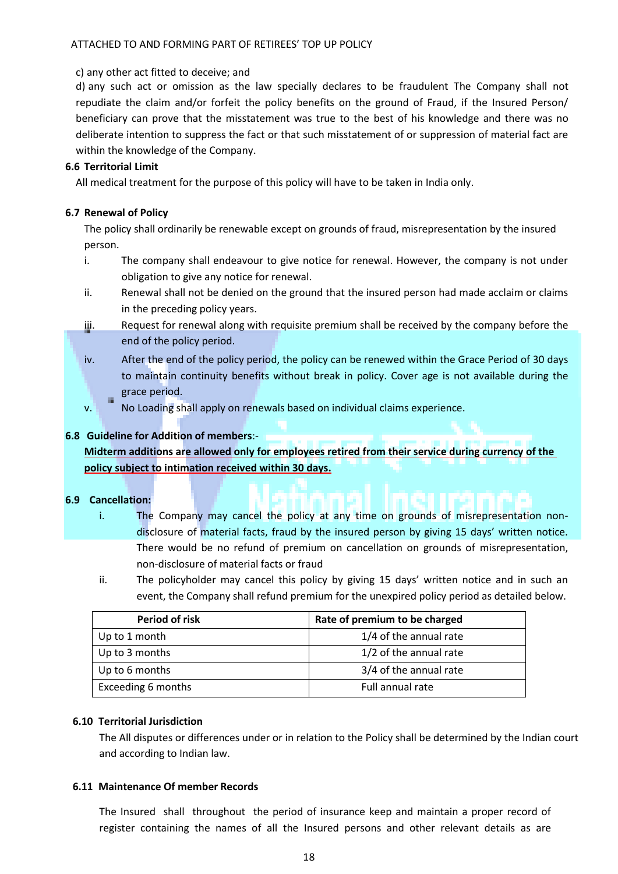### c) any other act fitted to deceive; and

d) any such act or omission as the law specially declares to be fraudulent The Company shall not repudiate the claim and/or forfeit the policy benefits on the ground of Fraud, if the Insured Person/ beneficiary can prove that the misstatement was true to the best of his knowledge and there was no deliberate intention to suppress the fact or that such misstatement of or suppression of material fact are within the knowledge of the Company.

## **6.6 Territorial Limit**

All medical treatment for the purpose of this policy will have to be taken in India only.

## **6.7 Renewal of Policy**

The policy shall ordinarily be renewable except on grounds of fraud, misrepresentation by the insured person.

- i. The company shall endeavour to give notice for renewal. However, the company is not under obligation to give any notice for renewal.
- ii. Renewal shall not be denied on the ground that the insured person had made acclaim or claims in the preceding policy years.
- iii. Request for renewal along with requisite premium shall be received by the company before the end of the policy period.
- iv. After the end of the policy period, the policy can be renewed within the Grace Period of 30 days to maintain continuity benefits without break in policy. Cover age is not available during the grace period. χ.
- v. No Loading shall apply on renewals based on individual claims experience.

## **6.8 Guideline for Addition of members**:-

**Midterm additions are allowed only for employees retired from their service during currency of the policy subject to intimation received within 30 days.**

## **6.9 Cancellation:**

i. The Company may cancel the policy at any time on grounds of misrepresentation nondisclosure of material facts, fraud by the insured person by giving 15 days' written notice. There would be no refund of premium on cancellation on grounds of misrepresentation, non-disclosure of material facts or fraud

nanzn

ii. The policyholder may cancel this policy by giving 15 days' written notice and in such an event, the Company shall refund premium for the unexpired policy period as detailed below.

| Period of risk     | Rate of premium to be charged |
|--------------------|-------------------------------|
| Up to 1 month      | 1/4 of the annual rate        |
| Up to 3 months     | 1/2 of the annual rate        |
| Up to 6 months     | 3/4 of the annual rate        |
| Exceeding 6 months | Full annual rate              |

### **6.10 Territorial Jurisdiction**

The All disputes or differences under or in relation to the Policy shall be determined by the Indian court and according to Indian law.

### **6.11 Maintenance Of member Records**

The Insured shall throughout the period of insurance keep and maintain a proper record of register containing the names of all the Insured persons and other relevant details as are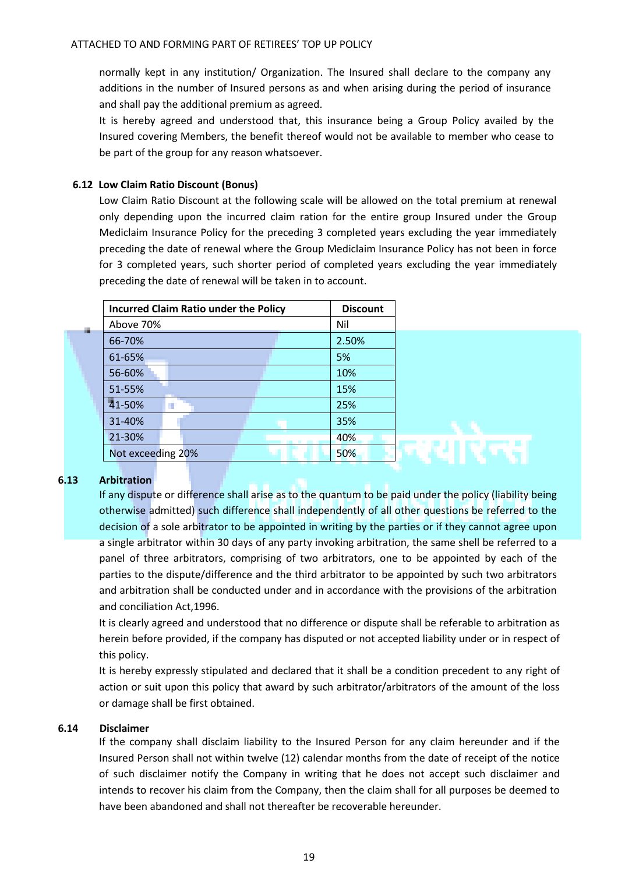normally kept in any institution/ Organization. The Insured shall declare to the company any additions in the number of Insured persons as and when arising during the period of insurance and shall pay the additional premium as agreed.

It is hereby agreed and understood that, this insurance being a Group Policy availed by the Insured covering Members, the benefit thereof would not be available to member who cease to be part of the group for any reason whatsoever.

# **6.12 Low Claim Ratio Discount (Bonus)**

Low Claim Ratio Discount at the following scale will be allowed on the total premium at renewal only depending upon the incurred claim ration for the entire group Insured under the Group Mediclaim Insurance Policy for the preceding 3 completed years excluding the year immediately preceding the date of renewal where the Group Mediclaim Insurance Policy has not been in force for 3 completed years, such shorter period of completed years excluding the year immediately preceding the date of renewal will be taken in to account.

| <b>Incurred Claim Ratio under the Policy</b> | <b>Discount</b> |
|----------------------------------------------|-----------------|
| Above 70%                                    | Nil             |
| 66-70%                                       | 2.50%           |
| 61-65%                                       | 5%              |
| 56-60%                                       | 10%             |
| 51-55%                                       | 15%             |
| 41-50%                                       | 25%             |
| 31-40%                                       | 35%             |
| 21-30%                                       | 40%             |
| Not exceeding 20%                            | 50%             |

# **6.13 Arbitration**

If any dispute or difference shall arise as to the quantum to be paid under the policy (liability being otherwise admitted) such difference shall independently of all other questions be referred to the decision of a sole arbitrator to be appointed in writing by the parties or if they cannot agree upon a single arbitrator within 30 days of any party invoking arbitration, the same shell be referred to a panel of three arbitrators, comprising of two arbitrators, one to be appointed by each of the parties to the dispute/difference and the third arbitrator to be appointed by such two arbitrators and arbitration shall be conducted under and in accordance with the provisions of the arbitration and conciliation Act,1996.

It is clearly agreed and understood that no difference or dispute shall be referable to arbitration as herein before provided, if the company has disputed or not accepted liability under or in respect of this policy.

It is hereby expressly stipulated and declared that it shall be a condition precedent to any right of action or suit upon this policy that award by such arbitrator/arbitrators of the amount of the loss or damage shall be first obtained.

# **6.14 Disclaimer**

If the company shall disclaim liability to the Insured Person for any claim hereunder and if the Insured Person shall not within twelve (12) calendar months from the date of receipt of the notice of such disclaimer notify the Company in writing that he does not accept such disclaimer and intends to recover his claim from the Company, then the claim shall for all purposes be deemed to have been abandoned and shall not thereafter be recoverable hereunder.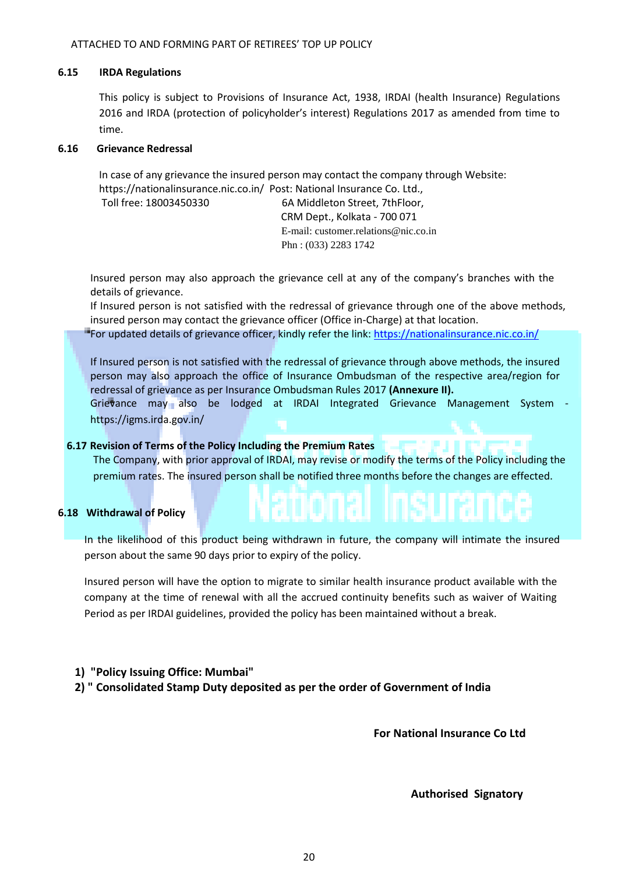### **6.15 IRDA Regulations**

This policy is subject to Provisions of Insurance Act, 1938, IRDAI (health Insurance) Regulations 2016 and IRDA (protection of policyholder's interest) Regulations 2017 as amended from time to time.

#### **6.16 Grievance Redressal**

In case of any grievance the insured person may contact the company through Website: https://nationalinsurance.nic.co.in/ Post: National Insurance Co. Ltd., Toll free: 18003450330 6A Middleton Street, 7thFloor,

 CRM Dept., Kolkata - 700 071 E-mail: [customer.relations@nic.co.in](mailto:customer.relations@nic.co.in) Phn : (033) 2283 1742

Insured person may also approach the grievance cell at any of the company's branches with the details of grievance.

If Insured person is not satisfied with the redressal of grievance through one of the above methods, insured person may contact the grievance officer (Office in-Charge) at that location.

For updated details of grievance officer, kindly refer the link:<https://nationalinsurance.nic.co.in/>

If Insured person is not satisfied with the redressal of grievance through above methods, the insured person may also approach the office of Insurance Ombudsman of the respective area/region for redressal of grievance as per Insurance Ombudsman Rules 2017 **(Annexure II).**

Grievance may also be lodged at IRDAI Integrated Grievance Management System https://igms.irda.gov.in/

### **6.17 Revision of Terms of the Policy Including the Premium Rates**

The Company, with prior approval of IRDAI, may revise or modify the terms of the Policy including the premium rates. The insured person shall be notified three months before the changes are effected.

00181 118

### **6.18 Withdrawal of Policy**

In the likelihood of this product being withdrawn in future, the company will intimate the insured person about the same 90 days prior to expiry of the policy.

Insured person will have the option to migrate to similar health insurance product available with the company at the time of renewal with all the accrued continuity benefits such as waiver of Waiting Period as per IRDAI guidelines, provided the policy has been maintained without a break.

### **1) "Policy Issuing Office: Mumbai"**

**2) " Consolidated Stamp Duty deposited as per the order of Government of India**

**For National Insurance Co Ltd**

### **Authorised Signatory**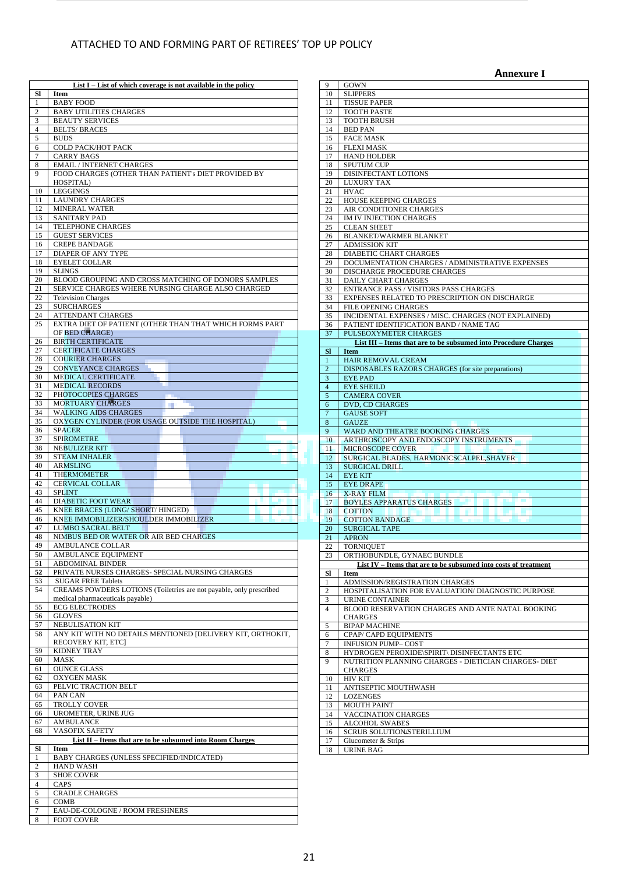**Annexure I**

|                       | List I – List of which coverage is not available in the policy                                          |  |
|-----------------------|---------------------------------------------------------------------------------------------------------|--|
| Sl<br>1               | <b>Item</b><br><b>BABY FOOD</b>                                                                         |  |
| 2                     | <b>BABY UTILITIES CHARGES</b>                                                                           |  |
| 3                     | <b>BEAUTY SERVICES</b>                                                                                  |  |
| 4                     | <b>BELTS/BRACES</b>                                                                                     |  |
| $\overline{5}$<br>6   | <b>BUDS</b><br>COLD PACK/HOT PACK                                                                       |  |
| 7                     | <b>CARRY BAGS</b>                                                                                       |  |
| 8                     | EMAIL / INTERNET CHARGES                                                                                |  |
| 9                     | FOOD CHARGES (OTHER THAN PATIENT's DIET PROVIDED BY                                                     |  |
|                       | HOSPITAL)<br>LEGGINGS                                                                                   |  |
| 10<br>11              | <b>LAUNDRY CHARGES</b>                                                                                  |  |
| 12                    | <b>MINERAL WATER</b>                                                                                    |  |
| 13                    | <b>SANITARY PAD</b>                                                                                     |  |
| 14                    | TELEPHONE CHARGES                                                                                       |  |
| 15<br>16              | <b>GUEST SERVICES</b><br><b>CREPE BANDAGE</b>                                                           |  |
| 17                    | DIAPER OF ANY TYPE                                                                                      |  |
| 18                    | <b>EYELET COLLAR</b>                                                                                    |  |
| 19                    | <b>SLINGS</b>                                                                                           |  |
| 20                    | BLOOD GROUPING AND CROSS MATCHING OF DONORS SAMPLES                                                     |  |
| 21<br>22              | SERVICE CHARGES WHERE NURSING CHARGE ALSO CHARGED<br><b>Television Charges</b>                          |  |
| 23                    | <b>SURCHARGES</b>                                                                                       |  |
| 24                    | ATTENDANT CHARGES                                                                                       |  |
| 25                    | EXTRA DIET OF PATIENT (OTHER THAN THAT WHICH FORMS PART                                                 |  |
|                       | OF BED CHARGE)<br><b>BIRTH CERTIFICATE</b>                                                              |  |
| 26<br>27              | <b>CERTIFICATE CHARGES</b>                                                                              |  |
| 28                    | <b>COURIER CHARGES</b>                                                                                  |  |
| 29                    | <b>CONVEYANCE CHARGES</b>                                                                               |  |
| 30                    | <b>MEDICAL CERTIFICATE</b>                                                                              |  |
| 31<br>32              | <b>MEDICAL RECORDS</b><br>PHOTOCOPIES CHARGES                                                           |  |
| 33                    | <b>MORTUARY CHARGES</b><br>m.                                                                           |  |
| 34                    | <b>WALKING AIDS CHARGES</b>                                                                             |  |
| 35                    | OXYGEN CYLINDER (FOR USAGE OUTSIDE THE HOSPITAL)                                                        |  |
| 36                    | <b>SPACER</b>                                                                                           |  |
| 37                    | <b>SPIROMETRE</b><br><b>NEBULIZER KIT</b>                                                               |  |
| 38<br>39              | <b>STEAM INHALER</b>                                                                                    |  |
| 40                    | <b>ARMSLING</b>                                                                                         |  |
| 41                    | <b>THERMOMETER</b>                                                                                      |  |
| 42                    | <b>CERVICAL COLLAR</b>                                                                                  |  |
| 43<br>44              | <b>SPLINT</b><br><b>DIABETIC FOOT WEAR</b>                                                              |  |
| 45                    | KNEE BRACES (LONG/ SHORT/ HINGED)                                                                       |  |
| 46                    | KNEE IMMOBILIZER/SHOULDER IMMOBILIZER                                                                   |  |
| 47                    | <b>LUMBO SACRAL BELT</b>                                                                                |  |
| 48<br>49              | NIMBUS BED OR WATER OR AIR BED CHARGES<br><b>AMBULANCE COLLAR</b>                                       |  |
| 50                    | AMBULANCE EQUIPMENT                                                                                     |  |
| 51                    | <b>ABDOMINAL BINDER</b>                                                                                 |  |
| 52                    | PRIVATE NURSES CHARGES- SPECIAL NURSING CHARGES                                                         |  |
| 53                    | <b>SUGAR FREE Tablets</b>                                                                               |  |
| 54                    | CREAMS POWDERS LOTIONS (Toiletries are not payable, only prescribed<br>medical pharmaceuticals payable) |  |
| 55                    | <b>ECG ELECTRODES</b>                                                                                   |  |
| 56                    | <b>GLOVES</b>                                                                                           |  |
| 57                    | NEBULISATION KIT                                                                                        |  |
| 58                    | ANY KIT WITH NO DETAILS MENTIONED [DELIVERY KIT, ORTHOKIT,                                              |  |
| 59                    | RECOVERY KIT, ETC]<br><b>KIDNEY TRAY</b>                                                                |  |
| 60                    | MASK                                                                                                    |  |
| 61                    |                                                                                                         |  |
| 62                    | <b>OUNCE GLASS</b>                                                                                      |  |
| 63                    | <b>OXYGEN MASK</b>                                                                                      |  |
|                       | PELVIC TRACTION BELT                                                                                    |  |
| 64                    | PAN CAN                                                                                                 |  |
| 65<br>66              | <b>TROLLY COVER</b><br>UROMETER, URINE JUG                                                              |  |
| 67                    | AMBULANCE                                                                                               |  |
| 68                    | <b>VASOFIX SAFETY</b>                                                                                   |  |
|                       | List II - Items that are to be subsumed into Room Charges                                               |  |
| S1                    | Item                                                                                                    |  |
| 1<br>2                | BABY CHARGES (UNLESS SPECIFIED/INDICATED)<br><b>HAND WASH</b>                                           |  |
| 3                     | <b>SHOE COVER</b>                                                                                       |  |
| $\overline{4}$        | CAPS                                                                                                    |  |
| 5                     | <b>CRADLE CHARGES</b>                                                                                   |  |
| 6<br>$\boldsymbol{7}$ | COMB<br>EAU-DE-COLOGNE / ROOM FRESHNERS                                                                 |  |

| 9                       | <b>GOWN</b>                                                                                   |
|-------------------------|-----------------------------------------------------------------------------------------------|
| 10                      | <b>SLIPPERS</b>                                                                               |
| 11                      | <b>TISSUE PAPER</b>                                                                           |
| 12                      | <b>TOOTH PASTE</b>                                                                            |
| 13                      | <b>TOOTH BRUSH</b>                                                                            |
| 14                      | <b>BED PAN</b>                                                                                |
| 15                      | <b>FACE MASK</b>                                                                              |
| 16                      | <b>FLEXI MASK</b>                                                                             |
| 17                      | <b>HAND HOLDER</b>                                                                            |
| 18                      | <b>SPUTUM CUP</b>                                                                             |
| 19                      | DISINFECTANT LOTIONS                                                                          |
| 20                      | <b>LUXURY TAX</b>                                                                             |
| 21                      | <b>HVAC</b>                                                                                   |
| 22                      | HOUSE KEEPING CHARGES                                                                         |
| 23                      | AIR CONDITIONER CHARGES                                                                       |
| 24                      | IM IV INJECTION CHARGES                                                                       |
| 25                      | <b>CLEAN SHEET</b>                                                                            |
| 26                      | BLANKET/WARMER BLANKET                                                                        |
| 27                      | <b>ADMISSION KIT</b>                                                                          |
| 28                      | DIABETIC CHART CHARGES                                                                        |
| 29                      | DOCUMENTATION CHARGES / ADMINISTRATIVE EXPENSES                                               |
| 30                      | DISCHARGE PROCEDURE CHARGES                                                                   |
| 31                      | DAILY CHART CHARGES                                                                           |
| 32                      | <b>ENTRANCE PASS / VISITORS PASS CHARGES</b>                                                  |
| 33                      | EXPENSES RELATED TO PRESCRIPTION ON DISCHARGE                                                 |
| 34                      | FILE OPENING CHARGES                                                                          |
| 35                      | INCIDENTAL EXPENSES / MISC. CHARGES (NOT EXPLAINED)<br>PATIENT IDENTIFICATION BAND / NAME TAG |
| 36<br>37                | PULSEOXYMETER CHARGES                                                                         |
|                         | <b>List III - Items that are to be subsumed into Procedure Charges</b>                        |
| SI                      | Item                                                                                          |
| $\mathbf{1}$            | HAIR REMOVAL CREAM                                                                            |
| $\overline{2}$          | DISPOSABLES RAZORS CHARGES (for site preparations)                                            |
| $\overline{\mathbf{3}}$ | <b>EYE PAD</b>                                                                                |
| $\overline{4}$          | <b>EYE SHEILD</b>                                                                             |
| $\overline{5}$          | <b>CAMERA COVER</b>                                                                           |
| 6                       | DVD, CD CHARGES                                                                               |
| $\tau$                  | <b>GAUSE SOFT</b>                                                                             |
| 8                       | <b>GAUZE</b>                                                                                  |
| 9                       | WARD AND THEATRE BOOKING CHARGES                                                              |
|                         |                                                                                               |
| 10                      |                                                                                               |
| 11                      | ARTHROSCOPY AND ENDOSCOPY INSTRUMENTS<br>MICROSCOPE COVER                                     |
| 12                      | SURGICAL BLADES, HARMONICSCALPEL, SHAVER                                                      |
| 13                      | SURGICAL DRILL                                                                                |
| 14                      | <b>EYE KIT</b>                                                                                |
| 15                      | <b>EYE DRAPE</b>                                                                              |
| 16                      | <b>X-RAY FILM</b>                                                                             |
| 17                      | <b>BOYLES APPARATUS CHARGES</b>                                                               |
| 18                      | <b>COTTON</b>                                                                                 |
| 19                      | <b>COTTON BANDAGE</b>                                                                         |
| 20                      | SURGICAL TAPE                                                                                 |
| 21                      | <b>APRON</b>                                                                                  |
| 22                      | <b>TORNIOUET</b>                                                                              |
| 23                      | ORTHOBUNDLE, GYNAEC BUNDLE                                                                    |
|                         | List IV - Items that are to be subsumed into costs of treatment                               |
| S1                      | Item                                                                                          |
| $\mathbf{1}$            | ADMISSION/REGISTRATION CHARGES                                                                |
| $\boldsymbol{2}$        | HOSPITALISATION FOR EVALUATION/DIAGNOSTIC PURPOSE                                             |
| 3                       | URINE CONTAINER                                                                               |
| $\overline{4}$          | BLOOD RESERVATION CHARGES AND ANTE NATAL BOOKING                                              |
|                         | <b>CHARGES</b>                                                                                |
| 5                       | <b>BIPAP MACHINE</b>                                                                          |
| 6                       | CPAP/ CAPD EQUIPMENTS                                                                         |
| $\tau$                  | <b>INFUSION PUMP-COST</b>                                                                     |
| 8<br>9                  | HYDROGEN PEROXIDE\SPIRIT\ DISINFECTANTS ETC                                                   |
|                         | NUTRITION PLANNING CHARGES - DIETICIAN CHARGES- DIET<br><b>CHARGES</b>                        |
| 10                      | <b>HIV KIT</b>                                                                                |
| 11                      | ANTISEPTIC MOUTHWASH                                                                          |
| 12                      | LOZENGES                                                                                      |
| 13                      | <b>MOUTH PAINT</b>                                                                            |
| 14                      | VACCINATION CHARGES                                                                           |
| 15                      | ALCOHOL SWABES                                                                                |
| 16                      | SCRUB SOLUTION/STERILLIUM                                                                     |
| 17                      | Glucometer & Strips                                                                           |
| 18                      | <b>URINE BAG</b>                                                                              |